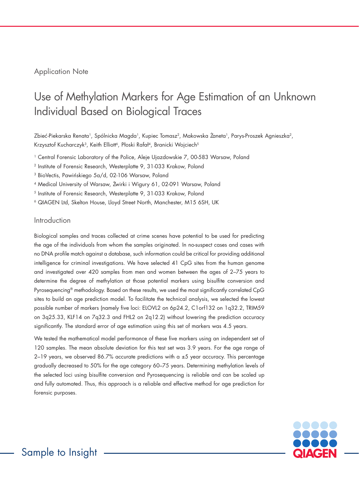## Application Note

# Use of Methylation Markers for Age Estimation of an Unknown Individual Based on Biological Traces

Zbieć-Piekarska Renata<sup>1</sup>, Spólnicka Magda<sup>1</sup>, Kupiec Tomasz<sup>2</sup>, Makowska Żaneta<sup>1</sup>, Parys-Proszek Agnieszka<sup>2</sup>, Krzysztof Kucharczyk<sup>3</sup>, Keith Elliott<sup>6</sup>, Płoski Rafał<sup>4</sup>, Branicki Wojciech<sup>5</sup>

1 Central Forensic Laboratory of the Police, Aleje Ujazdowskie 7, 00-583 Warsaw, Poland

<sup>2</sup> Institute of Forensic Research, Westerplatte 9, 31-033 Krakow, Poland

<sup>3</sup> BioVectis, Pawińskiego 5a/d, 02-106 Warsaw, Poland

<sup>4</sup> Medical University of Warsaw, Żwirki i Wigury 61, 02-091 Warsaw, Poland

5 Institute of Forensic Research, Westerplatte 9, 31-033 Krakow, Poland

6 QIAGEN Ltd, Skelton House, Lloyd Street North, Manchester, M15 6SH, UK

### Introduction

Biological samples and traces collected at crime scenes have potential to be used for predicting the age of the individuals from whom the samples originated. In no-suspect cases and cases with no DNA profile match against a database, such information could be critical for providing additional intelligence for criminal investigations. We have selected 41 CpG sites from the human genome and investigated over 420 samples from men and women between the ages of 2–75 years to determine the degree of methylation at those potential markers using bisulfite conversion and Pyrosequencing® methodology. Based on these results, we used the most significantly correlated CpG sites to build an age prediction model. To facilitate the technical analysis, we selected the lowest possible number of markers (namely five loci: ELOVL2 on 6p24.2, C1orf132 on 1q32.2, TRIM59 on 3q25.33, KLF14 on 7q32.3 and FHL2 on 2q12.2) without lowering the prediction accuracy significantly. The standard error of age estimation using this set of markers was 4.5 years.

We tested the mathematical model performance of these five markers using an independent set of 120 samples. The mean absolute deviation for this test set was 3.9 years. For the age range of 2–19 years, we observed 86.7% accurate predictions with a  $\pm 5$  year accuracy. This percentage gradually decreased to 50% for the age category 60–75 years. Determining methylation levels of the selected loci using bisulfite conversion and Pyrosequencing is reliable and can be scaled up and fully automated. Thus, this approach is a reliable and effective method for age prediction for forensic purposes.

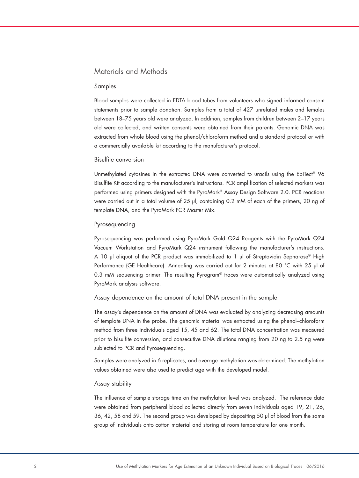## Materials and Methods

#### Samples

Blood samples were collected in EDTA blood tubes from volunteers who signed informed consent statements prior to sample donation. Samples from a total of 427 unrelated males and females between 18–75 years old were analyzed. In addition, samples from children between 2–17 years old were collected, and written consents were obtained from their parents. Genomic DNA was extracted from whole blood using the phenol/chloroform method and a standard protocol or with a commercially available kit according to the manufacturer's protocol.

#### Bisulfite conversion

Unmethylated cytosines in the extracted DNA were converted to uracils using the EpiTect® 96 Bisulfite Kit according to the manufacturer's instructions. PCR amplification of selected markers was performed using primers designed with the PyroMark® Assay Design Software 2.0. PCR reactions were carried out in a total volume of 25 µl, containing 0.2 mM of each of the primers, 20 ng of template DNA, and the PyroMark PCR Master Mix.

#### Pyrosequencing

Pyrosequencing was performed using PyroMark Gold Q24 Reagents with the PyroMark Q24 Vacuum Workstation and PyroMark Q24 instrument following the manufacturer's instructions. A 10 µl aliquot of the PCR product was immobilized to 1 µl of Streptavidin Sepharose® High Performance (GE Healthcare). Annealing was carried out for 2 minutes at 80 °C with 25 µl of 0.3 mM sequencing primer. The resulting Pyrogram® traces were automatically analyzed using PyroMark analysis software.

Assay dependence on the amount of total DNA present in the sample

The assay's dependence on the amount of DNA was evaluated by analyzing decreasing amounts of template DNA in the probe. The genomic material was extracted using the phenol–chloroform method from three individuals aged 15, 45 and 62. The total DNA concentration was measured prior to bisulfite conversion, and consecutive DNA dilutions ranging from 20 ng to 2.5 ng were subjected to PCR and Pyrosequencing.

Samples were analyzed in 6 replicates, and average methylation was determined. The methylation values obtained were also used to predict age with the developed model.

#### Assay stability

The influence of sample storage time on the methylation level was analyzed. The reference data were obtained from peripheral blood collected directly from seven individuals aged 19, 21, 26, 36, 42, 58 and 59. The second group was developed by depositing 50 µl of blood from the same group of individuals onto cotton material and storing at room temperature for one month.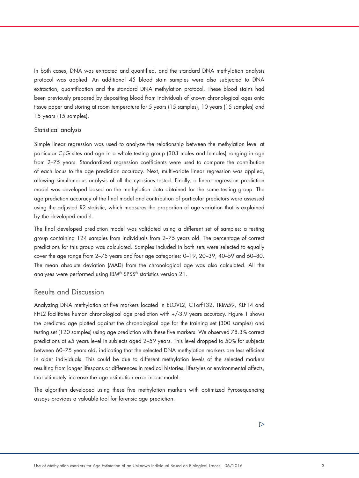In both cases, DNA was extracted and quantified, and the standard DNA methylation analysis protocol was applied. An additional 45 blood stain samples were also subjected to DNA extraction, quantification and the standard DNA methylation protocol. These blood stains had been previously prepared by depositing blood from individuals of known chronological ages onto tissue paper and storing at room temperature for 5 years (15 samples), 10 years (15 samples) and 15 years (15 samples).

#### Statistical analysis

Simple linear regression was used to analyze the relationship between the methylation level at particular CpG sites and age in a whole testing group (303 males and females) ranging in age from 2–75 years. Standardized regression coefficients were used to compare the contribution of each locus to the age prediction accuracy. Next, multivariate linear regression was applied, allowing simultaneous analysis of all the cytosines tested. Finally, a linear regression prediction model was developed based on the methylation data obtained for the same testing group. The age prediction accuracy of the final model and contribution of particular predictors were assessed using the adjusted R2 statistic, which measures the proportion of age variation that is explained by the developed model.

The final developed prediction model was validated using a different set of samples: a testing group containing 124 samples from individuals from 2–75 years old. The percentage of correct predictions for this group was calculated. Samples included in both sets were selected to equally cover the age range from 2–75 years and four age categories: 0–19, 20–39, 40–59 and 60–80. The mean absolute deviation (MAD) from the chronological age was also calculated. All the analyses were performed using IBM® SPSS® statistics version 21.

## Results and Discussion

Analyzing DNA methylation at five markers located in ELOVL2, C1orf132, TRIM59, KLF14 and FHL2 facilitates human chronological age prediction with +/-3.9 years accuracy. Figure 1 shows the predicted age plotted against the chronological age for the training set (300 samples) and testing set (120 samples) using age prediction with these five markers. We observed 78.3% correct predictions at ±5 years level in subjects aged 2–59 years. This level dropped to 50% for subjects between 60–75 years old, indicating that the selected DNA methylation markers are less efficient in older individuals. This could be due to different methylation levels of the selected markers resulting from longer lifespans or differences in medical histories, lifestyles or environmental affects, that ultimately increase the age estimation error in our model.

The algorithm developed using these five methylation markers with optimized Pyrosequencing assays provides a valuable tool for forensic age prediction.